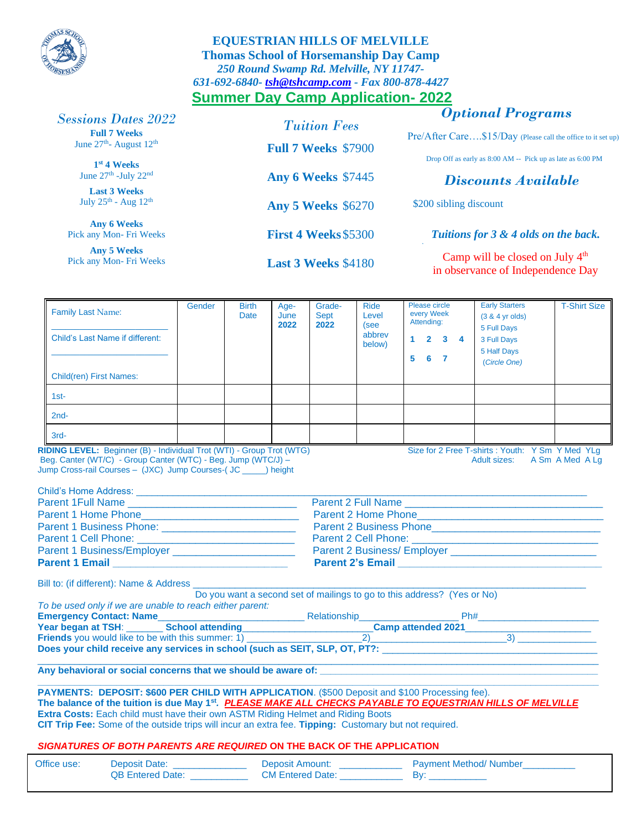

## **EQUESTRIAN HILLS OF MELVILLE Thomas School of Horsemanship Day Camp**  *250 Round Swamp Rd. Melville, NY 11747- 631-692-6840- [tsh@tshcamp.com](mailto:tsh@tshcamp.com) - Fax 800-878-4427* **Summer Day Camp Application- 2022**

# *Optional Programs*

## *Sessions Dates 2022*

**Full 7 Weeks** June 27<sup>th</sup>- August 12<sup>th</sup>

**1 st 4 Weeks** June 27<sup>th</sup> -July 22<sup>nd</sup>

**Last 3 Weeks** July  $25^{\text{th}}$  - Aug  $12^{\text{th}}$ 

**Any 6 Weeks** Pick any Mon- Fri Weeks

**Any 5 Weeks** Pick any Mon- Fri Weeks

*Tuition Fees* **Full 7 Weeks** \$7900 **Any 6 Weeks** \$7445 **Any 5 Weeks** \$6270

**First 4 Weeks**\$5300

**Last 3 Weeks** \$4180

Pre/After Care....\$15/Day (Please call the office to it set up)

Drop Off as early as 8:00 AM -- Pick up as late as 6:00 PM

## *Discounts Available*

\$200 sibling discount

*\*

*Tuitions for 3 & 4 olds on the back.*

Camp will be closed on July 4<sup>th</sup> in observance of Independence Day

| <b>Family Last Name:</b>                                                                                                                                                                                                                                                                       | Gender | <b>Birth</b><br>Date | Age-<br>June<br>2022 | Grade-<br><b>Sept</b>                                                                                                                                                                                                 | <b>Ride</b><br>Level     | Please circle<br>every Week<br>Attending:                                                                        | <b>Early Starters</b><br>$(3 & 4$ yr olds)                                       | <b>T-Shirt Size</b> |  |  |                                                    |  |  |  |  |  |                                                                         |  |  |  |
|------------------------------------------------------------------------------------------------------------------------------------------------------------------------------------------------------------------------------------------------------------------------------------------------|--------|----------------------|----------------------|-----------------------------------------------------------------------------------------------------------------------------------------------------------------------------------------------------------------------|--------------------------|------------------------------------------------------------------------------------------------------------------|----------------------------------------------------------------------------------|---------------------|--|--|----------------------------------------------------|--|--|--|--|--|-------------------------------------------------------------------------|--|--|--|
| <b>Child's Last Name if different:</b>                                                                                                                                                                                                                                                         |        |                      |                      | 2022                                                                                                                                                                                                                  | (see<br>abbrev<br>below) | $1 \quad 2 \quad 3 \quad 4$<br>567                                                                               | 5 Full Days<br>3 Full Days<br>5 Half Days<br>(Circle One)                        |                     |  |  |                                                    |  |  |  |  |  |                                                                         |  |  |  |
| <b>Child(ren) First Names:</b>                                                                                                                                                                                                                                                                 |        |                      |                      |                                                                                                                                                                                                                       |                          |                                                                                                                  |                                                                                  |                     |  |  |                                                    |  |  |  |  |  |                                                                         |  |  |  |
| $1st-$                                                                                                                                                                                                                                                                                         |        |                      |                      |                                                                                                                                                                                                                       |                          |                                                                                                                  |                                                                                  |                     |  |  |                                                    |  |  |  |  |  |                                                                         |  |  |  |
| $2nd-$                                                                                                                                                                                                                                                                                         |        |                      |                      |                                                                                                                                                                                                                       |                          |                                                                                                                  |                                                                                  |                     |  |  |                                                    |  |  |  |  |  |                                                                         |  |  |  |
| $3rd-$                                                                                                                                                                                                                                                                                         |        |                      |                      |                                                                                                                                                                                                                       |                          |                                                                                                                  |                                                                                  |                     |  |  |                                                    |  |  |  |  |  |                                                                         |  |  |  |
| RIDING LEVEL: Beginner (B) - Individual Trot (WTI) - Group Trot (WTG)<br>Beg. Canter (WT/C) - Group Canter (WTC) - Beg. Jump (WTC/J) -<br>Jump Cross-rail Courses - (JXC) Jump Courses-(JC _____) height                                                                                       |        |                      |                      |                                                                                                                                                                                                                       |                          |                                                                                                                  | Size for 2 Free T-shirts : Youth: Y Sm Y Med YLg<br>Adult sizes: A Sm A Med A La |                     |  |  |                                                    |  |  |  |  |  |                                                                         |  |  |  |
|                                                                                                                                                                                                                                                                                                |        |                      |                      |                                                                                                                                                                                                                       |                          |                                                                                                                  |                                                                                  |                     |  |  |                                                    |  |  |  |  |  |                                                                         |  |  |  |
|                                                                                                                                                                                                                                                                                                |        |                      |                      | Parent 2 Full Name                                                                                                                                                                                                    |                          |                                                                                                                  |                                                                                  |                     |  |  |                                                    |  |  |  |  |  |                                                                         |  |  |  |
| Parent 1 Business/Employer                                                                                                                                                                                                                                                                     |        |                      |                      |                                                                                                                                                                                                                       |                          |                                                                                                                  |                                                                                  |                     |  |  |                                                    |  |  |  |  |  |                                                                         |  |  |  |
|                                                                                                                                                                                                                                                                                                |        |                      |                      |                                                                                                                                                                                                                       |                          |                                                                                                                  |                                                                                  |                     |  |  |                                                    |  |  |  |  |  |                                                                         |  |  |  |
|                                                                                                                                                                                                                                                                                                |        |                      |                      |                                                                                                                                                                                                                       |                          |                                                                                                                  |                                                                                  |                     |  |  | Bill to: (if different): Name & Address __________ |  |  |  |  |  | Do you want a second set of mailings to go to this address? (Yes or No) |  |  |  |
| To be used only if we are unable to reach either parent:                                                                                                                                                                                                                                       |        |                      |                      |                                                                                                                                                                                                                       |                          |                                                                                                                  |                                                                                  |                     |  |  |                                                    |  |  |  |  |  |                                                                         |  |  |  |
|                                                                                                                                                                                                                                                                                                |        |                      |                      |                                                                                                                                                                                                                       |                          |                                                                                                                  |                                                                                  |                     |  |  |                                                    |  |  |  |  |  |                                                                         |  |  |  |
|                                                                                                                                                                                                                                                                                                |        |                      |                      | Emergency Contact: Name<br>Year began at TSH: School attending<br>Friends you would like to be with this summer: 1)<br>Triends you would like to be with this summer: 1)<br>The content of the summer: 1)<br>2)<br>2) |                          |                                                                                                                  |                                                                                  |                     |  |  |                                                    |  |  |  |  |  |                                                                         |  |  |  |
| Does your child receive any services in school (such as SEIT, SLP, OT, PT?: Letter and the control of the control of the control of the control of the control of the control of the control of the control of the control of                                                                  |        |                      |                      |                                                                                                                                                                                                                       |                          |                                                                                                                  |                                                                                  |                     |  |  |                                                    |  |  |  |  |  |                                                                         |  |  |  |
| Any behavioral or social concerns that we should be aware of: Any behavior and the social concerns that we should be aware of:                                                                                                                                                                 |        |                      |                      |                                                                                                                                                                                                                       |                          | and the control of the control of the control of the control of the control of the control of the control of the |                                                                                  |                     |  |  |                                                    |  |  |  |  |  |                                                                         |  |  |  |
| PAYMENTS: DEPOSIT: \$600 PER CHILD WITH APPLICATION. (\$500 Deposit and \$100 Processing fee).<br>The balance of the tuition is due May 1st. PLEASE MAKE ALL CHECKS PAYABLE TO EQUESTRIAN HILLS OF MELVILLE<br>Extra Costs: Each child must have their own ASTM Riding Helmet and Riding Boots |        |                      |                      |                                                                                                                                                                                                                       |                          |                                                                                                                  |                                                                                  |                     |  |  |                                                    |  |  |  |  |  |                                                                         |  |  |  |

**CIT Trip Fee:** Some of the outside trips will incur an extra fee. **Tipping:** Customary but not required.

### *SIGNATURES OF BOTH PARENTS ARE REQUIRED* **ON THE BACK OF THE APPLICATION**

| Office use: | Deposit Date:           | Deposit Amount:         | <b>Payment Method/ Number</b> |
|-------------|-------------------------|-------------------------|-------------------------------|
|             | <b>QB Entered Date:</b> | <b>CM Entered Date:</b> |                               |